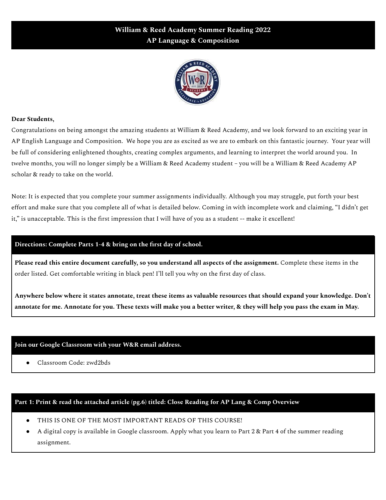# **William & Reed Academy Summer Reading 2022 AP Language & Composition**



### **Dear Students,**

Congratulations on being amongst the amazing students at William & Reed Academy, and we look forward to an exciting year in AP English Language and Composition. We hope you are as excited as we are to embark on this fantastic journey. Your year will be full of considering enlightened thoughts, creating complex arguments, and learning to interpret the world around you. In twelve months, you will no longer simply be a William & Reed Academy student – you will be a William & Reed Academy AP scholar & ready to take on the world.

Note: It is expected that you complete your summer assignments individually. Although you may struggle, put forth your best effort and make sure that you complete all of what is detailed below. Coming in with incomplete work and claiming, "I didn't get it," is unacceptable. This is the first impression that I will have of you as a student -- make it excellent!

### **Directions: Complete Parts 1-4 & bring on the first day of school.**

**Please read this entire document carefully, so you understand all aspects of the assignment.** Complete these items in the order listed. Get comfortable writing in black pen! I'll tell you why on the first day of class.

Anywhere below where it states annotate, treat these items as valuable resources that should expand your knowledge. Don't annotate for me. Annotate for you. These texts will make you a better writer, & they will help you pass the exam in May.

### **Join our Google Classroom with your W&R email address.**

● Classroom Code: zwd2bds

### **Part 1: Print & read the attached article (pg.6) titled: Close Reading for AP Lang & Comp Overview**

- THIS IS ONE OF THE MOST IMPORTANT READS OF THIS COURSE!
- A digital copy is available in Google classroom. Apply what you learn to Part 2 & Part 4 of the summer reading assignment.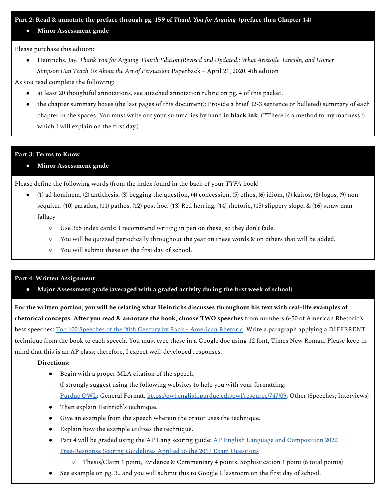### Part 2: Read & annotate the preface through pg. 159 of Thank You for Arguing (preface thru Chapter 14)

**● Minor Assessment grade**

Please purchase this edition:

● Heinrichs, Jay. *Thank You for Arguing, Fourth Edition (Revised and Updated): What Aristotle, Lincoln, and Homer Simpson Can Teach Us About the Art of Persuasion* Paperback – April 21, 2020, 4th edition

As you read complete the following:

- at least 20 thoughtful annotations, see attached annotation rubric on pg. 4 of this packet.
- the chapter summary boxes (the last pages of this document): Provide a brief (2-3 sentence or bulleted) summary of each chapter in the spaces. You must write out your summaries by hand in **black ink**. (\*\*There is a method to my madness :) which I will explain on the first day.)

### **Part 3: Terms to Know**

**● Minor Assessment grade**

Please define the following words (from the index found in the back of your *TYFA* book)

- (1) ad hominem, (2) antithesis, (3) begging the question, (4) concession, (5) ethos, (6) idiom, (7) kairos, (8) logos, (9) non sequitur, (10) paradox, (11) pathos, (12) post hoc, (13) Red herring, (14) rhetoric, (15) slippery slope, & (16) straw man fallacy
	- Use 3x5 index cards; I recommend writing in pen on these, so they don't fade.
	- You will be quizzed periodically throughout the year on these words & on others that will be added.
	- You will submit these on the first day of school.

### **Part 4: Written Assignment**

**● Major Assessment grade (averaged with a graded activity during the first week of school)**

For the written portion, you will be relating what Heinrichs discusses throughout his text with real-life examples of **rhetorical concepts. After you read & annotate the book, choose TWO speeches** from numbers 6-50 of American Rhetoric's best speeches: Top 100 Speeches of the 20th Century by Rank - [American](https://www.americanrhetoric.com/top100speechesall.html) Rhetoric. Write a paragraph applying a DIFFERENT technique from the book to each speech. You must type these in a Google doc using 12 font, Times New Roman. Please keep in mind that this is an AP class; therefore, I expect well-developed responses.

### **Directions:**

- Begin with a proper MLA citation of the speech: (I strongly suggest using the following websites to help you with your formatting: [Purdue](https://owl.english.purdue.edu/owl/resource/747/05/) OWL: General Format, [https://owl.english.purdue.edu/owl/resource/747/09:](https://owl.english.purdue.edu/owl/resource/747/09) Other (Speeches, Interviews)
- Then explain Heinrich's technique.
- Give an example from the speech wherein the orator uses the technique.
- Explain how the example utilizes the technique.
- Part 4 will be graded using the AP Lang scoring guide: <u>AP English Language and [Composition](https://apcentral.collegeboard.org/pdf/ap-english-language-and-composition-2020-frq-scoring-guidelines-2019-exam-questions-0.pdf) 2020</u> [Free-Response](https://apcentral.collegeboard.org/pdf/ap-english-language-and-composition-2020-frq-scoring-guidelines-2019-exam-questions-0.pdf) Scoring Guidelines Applied to the 2019 Exam Questions
	- Thesis/Claim 1 point, Evidence & Commentary 4 points, Sophistication 1 point (6 total points)
- See example on pg. 3., and you will submit this to Google Classroom on the first day of school.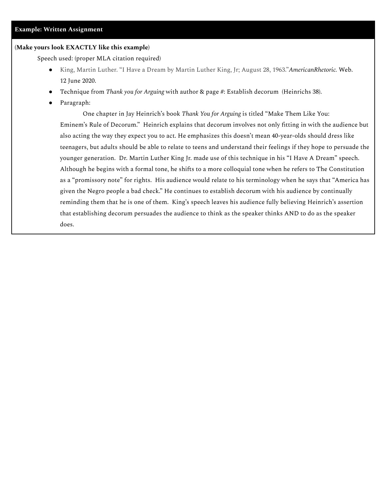#### **(Make yours look EXACTLY like this example)**

Speech used: (proper MLA citation required)

- King, Martin Luther. "I Have a Dream by Martin Luther King, Jr; August 28, 1963."*AmericanRhetoric.* Web. 12 June 2020.
- Technique from *Thank you for Arguing* with author & page #: Establish decorum (Heinrichs 38).
- Paragraph:

One chapter in Jay Heinrich's book *Thank You for Arguing* is titled "Make Them Like You: Eminem's Rule of Decorum." Heinrich explains that decorum involves not only fitting in with the audience but also acting the way they expect you to act. He emphasizes this doesn't mean 40-year-olds should dress like teenagers, but adults should be able to relate to teens and understand their feelings if they hope to persuade the younger generation. Dr. Martin Luther King Jr. made use of this technique in his "I Have A Dream" speech. Although he begins with a formal tone, he shifts to a more colloquial tone when he refers to The Constitution as a "promissory note" for rights. His audience would relate to his terminology when he says that "America has given the Negro people a bad check." He continues to establish decorum with his audience by continually reminding them that he is one of them. King's speech leaves his audience fully believing Heinrich's assertion that establishing decorum persuades the audience to think as the speaker thinks AND to do as the speaker does.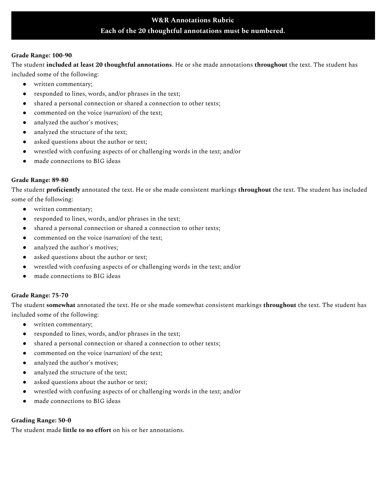# **W&R Annotations Rubric Each of the 20 thoughtful annotations must be numbered.**

#### **Grade Range: 100-90**

The student **included at least 20 thoughtful annotations**. He or she made annotations **throughout** the text. The student has included some of the following:

- written commentary;
- responded to lines, words, and/or phrases in the text;
- shared a personal connection or shared a connection to other texts;
- commented on the voice (*narration*) of the text;
- analyzed the author's motives;
- analyzed the structure of the text;
- asked questions about the author or text;
- wrestled with confusing aspects of or challenging words in the text; and/or
- made connections to BIG ideas

#### **Grade Range: 89-80**

The student **proficiently** annotated the text. He or she made consistent markings **throughout** the text. The student has included some of the following:

- written commentary;
- responded to lines, words, and/or phrases in the text;
- shared a personal connection or shared a connection to other texts;
- commented on the voice (*narration*) of the text;
- analyzed the author's motives;
- asked questions about the author or text;
- wrestled with confusing aspects of or challenging words in the text; and/or
- made connections to BIG ideas

### **Grade Range: 75-70**

The student **somewhat** annotated the text. He or she made somewhat consistent markings **throughout** the text. The student has included some of the following:

- written commentary;
- responded to lines, words, and/or phrases in the text;
- shared a personal connection or shared a connection to other texts;
- commented on the voice (*narration*) of the text;
- analyzed the author's motives;
- analyzed the structure of the text;
- asked questions about the author or text;
- wrestled with confusing aspects of or challenging words in the text; and/or
- made connections to BIG ideas

### **Grading Range: 50-0**

The student made **little to no effort** on his or her annotations.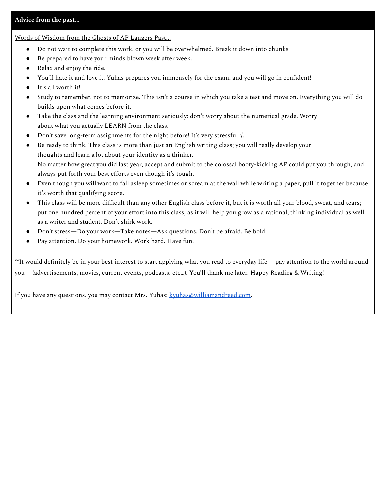### **Advice from the past…**

Words of Wisdom from the Ghosts of AP Langers Past...

- Do not wait to complete this work, or you will be overwhelmed. Break it down into chunks!
- Be prepared to have your minds blown week after week.
- Relax and enjoy the ride.
- You'll hate it and love it. Yuhas prepares you immensely for the exam, and you will go in confident!
- It's all worth it!
- Study to remember, not to memorize. This isn't a course in which you take a test and move on. Everything you will do builds upon what comes before it.
- Take the class and the learning environment seriously; don't worry about the numerical grade. Worry about what you actually LEARN from the class.
- Don't save long-term assignments for the night before! It's very stressful :/.
- Be ready to think. This class is more than just an English writing class; you will really develop your thoughts and learn a lot about your identity as a thinker. No matter how great you did last year, accept and submit to the colossal booty-kicking AP could put you through, and always put forth your best efforts even though it's tough.
- Even though you will want to fall asleep sometimes or scream at the wall while writing a paper, pull it together because it's worth that qualifying score.
- This class will be more difficult than any other English class before it, but it is worth all your blood, sweat, and tears; put one hundred percent of your effort into this class, as it will help you grow as a rational, thinking individual as well as a writer and student. Don't shirk work.
- Don't stress—Do your work—Take notes—Ask questions. Don't be afraid. Be bold.
- Pay attention. Do your homework. Work hard. Have fun.

\*\*It would definitely be in your best interest to start applying what you read to everyday life -- pay attention to the world around you -- (advertisements, movies, current events, podcasts, etc…). You'll thank me later. Happy Reading & Writing!

If you have any questions, you may contact Mrs. Yuhas: [kyuhas@williamandreed.com.](mailto:kyuhas@williamandreed.com)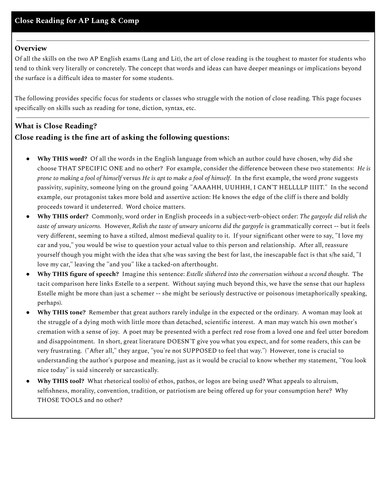## **Overview**

Of all the skills on the two AP English exams (Lang and Lit), the art of close reading is the toughest to master for students who tend to think very literally or concretely. The concept that words and ideas can have deeper meanings or implications beyond the surface is a difficult idea to master for some students.

The following provides specific focus for students or classes who struggle with the notion of close reading. This page focuses specifically on skills such as reading for tone, diction, syntax, etc.

# **What is Close Reading? Close reading is the fine art of asking the following questions:**

- **Why THIS word?** Of all the words in the English language from which an author could have chosen, why did she choose THAT SPECIFIC ONE and no other? For example, consider the difference between these two statements: *He is* prone to making a fool of himself versus He is apt to make a fool of himself. In the first example, the word prone suggests passivity, supinity, someone lying on the ground going "AAAAHH, UUHHH, I CAN'T HELLLLP IIIIT." In the second example, our protagonist takes more bold and assertive action: He knows the edge of the cliff is there and boldly proceeds toward it undeterred. Word choice matters.
- **Why THIS order?** Commonly, word order in English proceeds in a subject-verb-object order: *The gargoyle did relish the taste of unwary unicorns.* However, *Relish the taste of unwary unicorns did the gargoyle* is grammatically correct -- but it feels very different, seeming to have a stilted, almost medieval quality to it. If your significant other were to say, "I love my car and you," you would be wise to question your actual value to this person and relationship. After all, reassure yourself though you might with the idea that s/he was saving the best for last, the inescapable fact is that s/he said, "I love my car," leaving the "and you" like a tacked-on afterthought.
- **Why THIS figure of speech?** Imagine this sentence: *Estelle slithered into the conversation without a second thought*. The tacit comparison here links Estelle to a serpent. Without saying much beyond this, we have the sense that our hapless Estelle might be more than just a schemer -- she might be seriously destructive or poisonous (metaphorically speaking, perhaps).
- **Why THIS tone?** Remember that great authors rarely indulge in the expected or the ordinary. A [woman](https://ebooks.adelaide.edu.au/w/woolf/virginia/w91d/chapter1.html) may look at the [struggle](https://ebooks.adelaide.edu.au/w/woolf/virginia/w91d/chapter1.html) of a dying moth with little more than detached, scientific interest. A man may watch his own [mother's](http://grammar.about.com/od/classicessays/a/shawenjoyed.htm) [cremation](http://grammar.about.com/od/classicessays/a/shawenjoyed.htm) with a sense of joy. A poet may be presented with a perfect red rose from a [loved](http://public.wsu.edu/~delahoyd/parker.rose.html) one and feel utter boredom and disappointment. In short, great literature DOESN'T give you what you expect, and for some readers, this can be very frustrating. ("After all," they argue, "you're not SUPPOSED to feel that way.") However, tone is crucial to understanding the author's purpose and meaning, just as it would be crucial to know whether my statement, "You look nice today" is said sincerely or sarcastically.
- **Why THIS tool?** What rhetorical tool(s) of ethos, pathos, or logos are being used? What appeals to altruism, selfishness, morality, convention, tradition, or patriotism are being offered up for your consumption here? Why THOSE TOOLS and no other?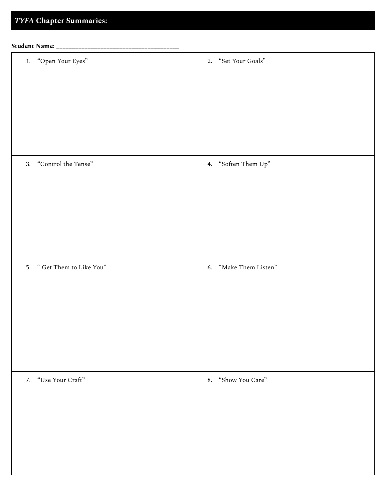# *TYFA* **Chapter Summaries:**

| <b>Student Name:</b> |  |
|----------------------|--|
|                      |  |

| <b>Student Name:</b> _____________ |                       |
|------------------------------------|-----------------------|
| 1. "Open Your Eyes"                | 2. "Set Your Goals"   |
| 3. "Control the Tense"             | 4. "Soften Them Up"   |
| 5. "Get Them to Like You"          | 6. "Make Them Listen" |
| 7. "Use Your Craft"                | 8. "Show You Care"    |